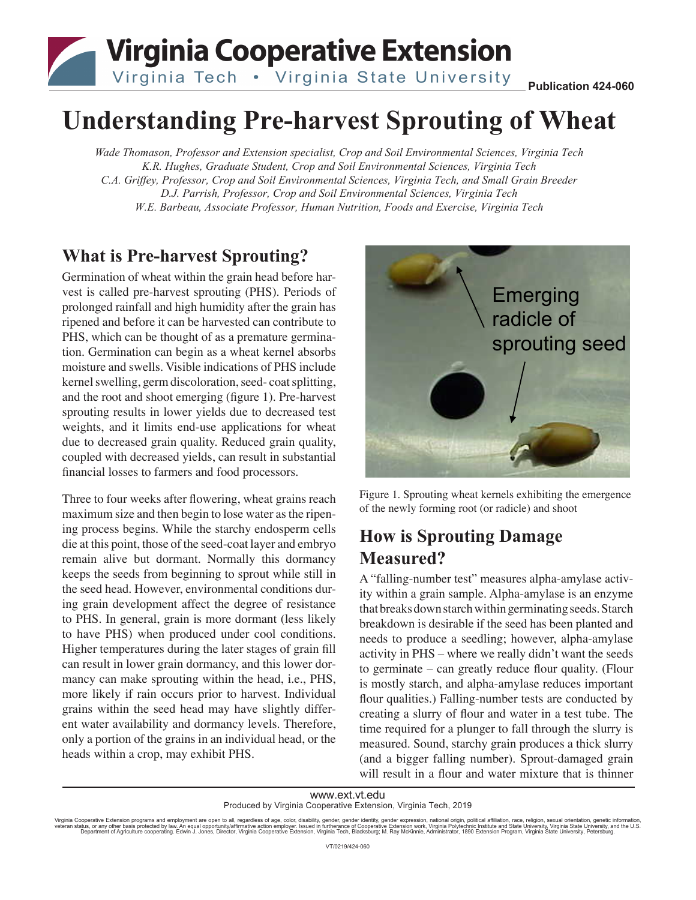

# **Understanding Pre-harvest Sprouting of Wheat**

*Wade Thomason, Professor and Extension specialist, Crop and Soil Environmental Sciences, Virginia Tech K.R. Hughes, Graduate Student, Crop and Soil Environmental Sciences, Virginia Tech C.A. Griffey, Professor, Crop and Soil Environmental Sciences, Virginia Tech, and Small Grain Breeder D.J. Parrish, Professor, Crop and Soil Environmental Sciences, Virginia Tech W.E. Barbeau, Associate Professor, Human Nutrition, Foods and Exercise, Virginia Tech*

#### **What is Pre-harvest Sprouting?**

Germination of wheat within the grain head before harvest is called pre-harvest sprouting (PHS). Periods of prolonged rainfall and high humidity after the grain has ripened and before it can be harvested can contribute to PHS, which can be thought of as a premature germination. Germination can begin as a wheat kernel absorbs moisture and swells. Visible indications of PHS include kernel swelling, germ discoloration, seed- coat splitting, and the root and shoot emerging (figure 1). Pre-harvest sprouting results in lower yields due to decreased test weights, and it limits end-use applications for wheat due to decreased grain quality. Reduced grain quality, coupled with decreased yields, can result in substantial financial losses to farmers and food processors.

Three to four weeks after flowering, wheat grains reach maximum size and then begin to lose water as the ripening process begins. While the starchy endosperm cells die at this point, those of the seed-coat layer and embryo remain alive but dormant. Normally this dormancy keeps the seeds from beginning to sprout while still in the seed head. However, environmental conditions during grain development affect the degree of resistance to PHS. In general, grain is more dormant (less likely to have PHS) when produced under cool conditions. Higher temperatures during the later stages of grain fill can result in lower grain dormancy, and this lower dormancy can make sprouting within the head, i.e., PHS, more likely if rain occurs prior to harvest. Individual grains within the seed head may have slightly different water availability and dormancy levels. Therefore, only a portion of the grains in an individual head, or the heads within a crop, may exhibit PHS.



Figure 1. Sprouting wheat kernels exhibiting the emergence of the newly forming root (or radicle) and shoot

## **How is Sprouting Damage Measured?**

A "falling-number test" measures alpha-amylase activity within a grain sample. Alpha-amylase is an enzyme that breaks down starch within germinating seeds. Starch breakdown is desirable if the seed has been planted and needs to produce a seedling; however, alpha-amylase activity in PHS – where we really didn't want the seeds to germinate – can greatly reduce flour quality. (Flour is mostly starch, and alpha-amylase reduces important flour qualities.) Falling-number tests are conducted by creating a slurry of flour and water in a test tube. The time required for a plunger to fall through the slurry is measured. Sound, starchy grain produces a thick slurry (and a bigger falling number). Sprout-damaged grain will result in a flour and water mixture that is thinner

www.ext.vt.edu Produced by Virginia Cooperative Extension, Virginia Tech, 2019

Virginia Cooperative Extension programs and employment are open to all, regardless of age, color, disability, gender, gender identity, gender expression, national origin, political affiliation, race, religion, sexual orien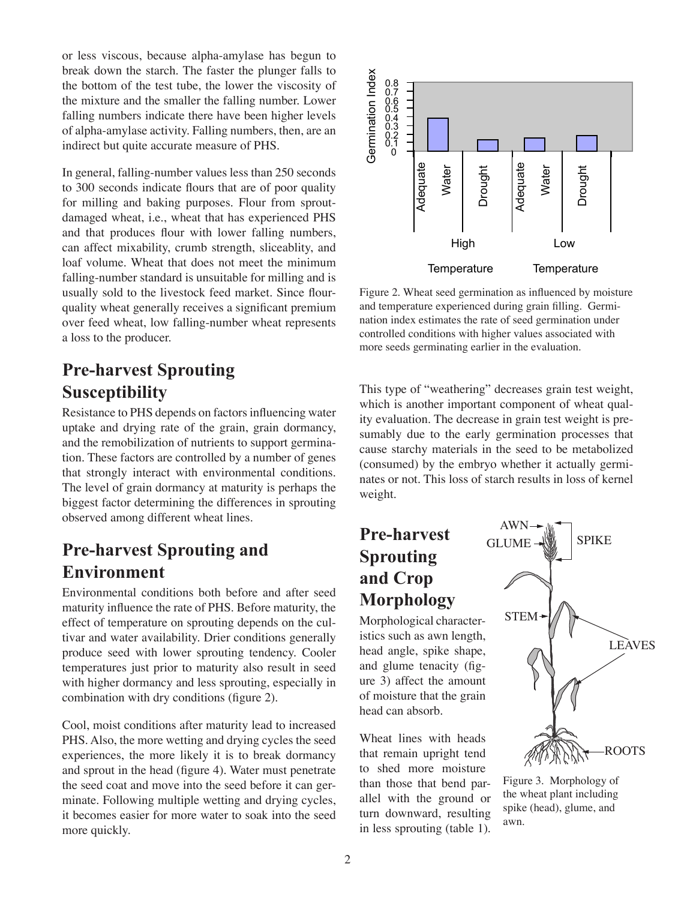or less viscous, because alpha-amylase has begun to break down the starch. The faster the plunger falls to the bottom of the test tube, the lower the viscosity of the mixture and the smaller the falling number. Lower falling numbers indicate there have been higher levels of alpha-amylase activity. Falling numbers, then, are an indirect but quite accurate measure of PHS.

In general, falling-number values less than 250 seconds to 300 seconds indicate flours that are of poor quality for milling and baking purposes. Flour from sproutdamaged wheat, i.e., wheat that has experienced PHS and that produces flour with lower falling numbers, can affect mixability, crumb strength, sliceablity, and loaf volume. Wheat that does not meet the minimum falling-number standard is unsuitable for milling and is usually sold to the livestock feed market. Since flourquality wheat generally receives a significant premium over feed wheat, low falling-number wheat represents a loss to the producer.

### **Pre-harvest Sprouting Susceptibility**

Resistance to PHS depends on factors influencing water uptake and drying rate of the grain, grain dormancy, and the remobilization of nutrients to support germination. These factors are controlled by a number of genes that strongly interact with environmental conditions. The level of grain dormancy at maturity is perhaps the biggest factor determining the differences in sprouting observed among different wheat lines.

#### **Pre-harvest Sprouting and Environment**

Environmental conditions both before and after seed maturity influence the rate of PHS. Before maturity, the effect of temperature on sprouting depends on the cultivar and water availability. Drier conditions generally produce seed with lower sprouting tendency. Cooler temperatures just prior to maturity also result in seed with higher dormancy and less sprouting, especially in combination with dry conditions (figure 2).

Cool, moist conditions after maturity lead to increased PHS. Also, the more wetting and drying cycles the seed experiences, the more likely it is to break dormancy and sprout in the head (figure 4). Water must penetrate the seed coat and move into the seed before it can germinate. Following multiple wetting and drying cycles, it becomes easier for more water to soak into the seed more quickly.



Figure 2. Wheat seed germination as influenced by moisture and temperature experienced during grain filling. Germination index estimates the rate of seed germination under controlled conditions with higher values associated with more seeds germinating earlier in the evaluation.

This type of "weathering" decreases grain test weight, which is another important component of wheat quality evaluation. The decrease in grain test weight is presumably due to the early germination processes that cause starchy materials in the seed to be metabolized (consumed) by the embryo whether it actually germinates or not. This loss of starch results in loss of kernel weight.

# **Pre-harvest Sprouting and Crop Morphology**

Morphological characteristics such as awn length, head angle, spike shape, and glume tenacity (figure 3) affect the amount of moisture that the grain head can absorb.

Wheat lines with heads that remain upright tend to shed more moisture than those that bend parallel with the ground or turn downward, resulting in less sprouting (table 1).



Figure 3. Morphology of the wheat plant including spike (head), glume, and awn.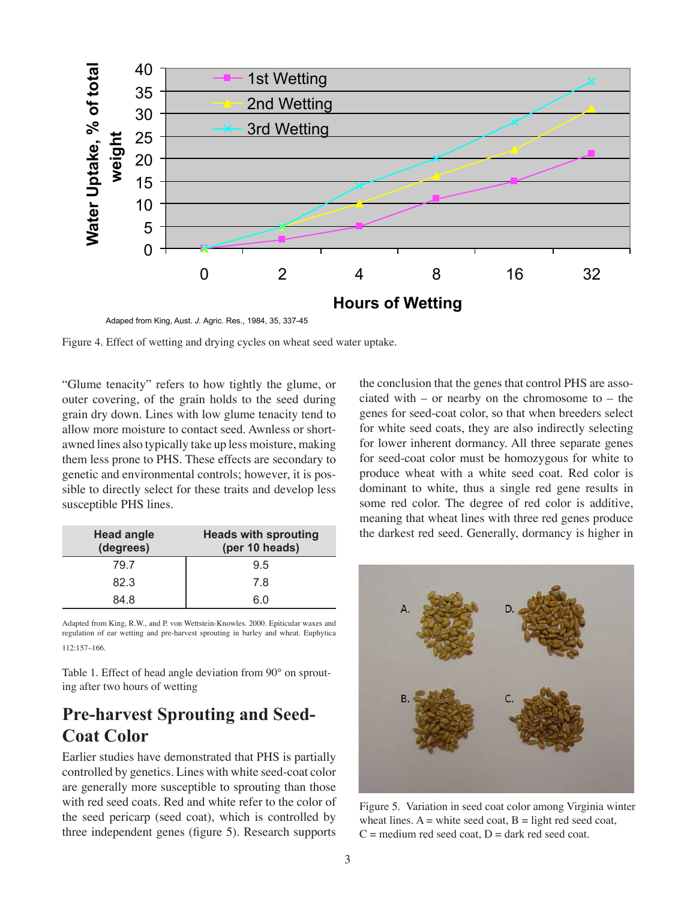

Adaped from King, Aust. *J.* Agric. Res., 1984, 35, 337-45

Figure 4. Effect of wetting and drying cycles on wheat seed water uptake.

"Glume tenacity" refers to how tightly the glume, or outer covering, of the grain holds to the seed during grain dry down. Lines with low glume tenacity tend to allow more moisture to contact seed. Awnless or shortawned lines also typically take up less moisture, making them less prone to PHS. These effects are secondary to genetic and environmental controls; however, it is possible to directly select for these traits and develop less susceptible PHS lines.

| <b>Head angle</b><br>(degrees) | <b>Heads with sprouting</b><br>(per 10 heads) |
|--------------------------------|-----------------------------------------------|
| 79.7                           | 9.5                                           |
| 82.3                           | 7.8                                           |
| 84 8                           | 60                                            |

Adapted from King, R.W., and P. von Wettstein-Knowles. 2000. Epiticular waxes and regulation of ear wetting and pre-harvest sprouting in barley and wheat. Euphytica 112:157–166.

Table 1. Effect of head angle deviation from 90° on sprouting after two hours of wetting

#### **Pre-harvest Sprouting and Seed-Coat Color**

Earlier studies have demonstrated that PHS is partially controlled by genetics. Lines with white seed-coat color are generally more susceptible to sprouting than those with red seed coats. Red and white refer to the color of the seed pericarp (seed coat), which is controlled by three independent genes (figure 5). Research supports

the conclusion that the genes that control PHS are associated with – or nearby on the chromosome to – the genes for seed-coat color, so that when breeders select for white seed coats, they are also indirectly selecting for lower inherent dormancy. All three separate genes for seed-coat color must be homozygous for white to produce wheat with a white seed coat. Red color is dominant to white, thus a single red gene results in some red color. The degree of red color is additive, meaning that wheat lines with three red genes produce the darkest red seed. Generally, dormancy is higher in



Figure 5. Variation in seed coat color among Virginia winter wheat lines.  $A =$  white seed coat,  $B =$  light red seed coat,  $C =$  medium red seed coat,  $D =$  dark red seed coat.